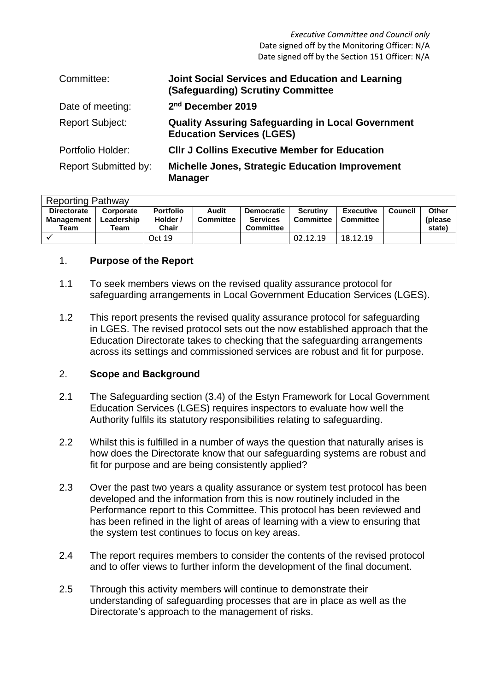| Committee:                  | Joint Social Services and Education and Learning<br>(Safeguarding) Scrutiny Committee        |
|-----------------------------|----------------------------------------------------------------------------------------------|
| Date of meeting:            | 2 <sup>nd</sup> December 2019                                                                |
| <b>Report Subject:</b>      | <b>Quality Assuring Safeguarding in Local Government</b><br><b>Education Services (LGES)</b> |
| Portfolio Holder:           | <b>CIIr J Collins Executive Member for Education</b>                                         |
| <b>Report Submitted by:</b> | <b>Michelle Jones, Strategic Education Improvement</b><br><b>Manager</b>                     |

| <b>Reporting Pathway</b> |            |                  |                  |                   |                  |                  |         |              |
|--------------------------|------------|------------------|------------------|-------------------|------------------|------------------|---------|--------------|
| <b>Directorate</b>       | Corporate  | <b>Portfolio</b> | Audit            | <b>Democratic</b> | <b>Scrutiny</b>  | <b>Executive</b> | Council | <b>Other</b> |
| Management               | Leadership | Holder /         | <b>Committee</b> | <b>Services</b>   | <b>Committee</b> | Committee        |         | (please)     |
| Team                     | Team       | Chair            |                  | <b>Committee</b>  |                  |                  |         | state)       |
|                          |            | Oct 19           |                  |                   | 02.12.19         | 18.12.19         |         |              |

# 1. **Purpose of the Report**

- 1.1 To seek members views on the revised quality assurance protocol for safeguarding arrangements in Local Government Education Services (LGES).
- 1.2 This report presents the revised quality assurance protocol for safeguarding in LGES. The revised protocol sets out the now established approach that the Education Directorate takes to checking that the safeguarding arrangements across its settings and commissioned services are robust and fit for purpose.

#### 2. **Scope and Background**

- 2.1 The Safeguarding section (3.4) of the Estyn Framework for Local Government Education Services (LGES) requires inspectors to evaluate how well the Authority fulfils its statutory responsibilities relating to safeguarding.
- 2.2 Whilst this is fulfilled in a number of ways the question that naturally arises is how does the Directorate know that our safeguarding systems are robust and fit for purpose and are being consistently applied?
- 2.3 Over the past two years a quality assurance or system test protocol has been developed and the information from this is now routinely included in the Performance report to this Committee. This protocol has been reviewed and has been refined in the light of areas of learning with a view to ensuring that the system test continues to focus on key areas.
- 2.4 The report requires members to consider the contents of the revised protocol and to offer views to further inform the development of the final document.
- 2.5 Through this activity members will continue to demonstrate their understanding of safeguarding processes that are in place as well as the Directorate's approach to the management of risks.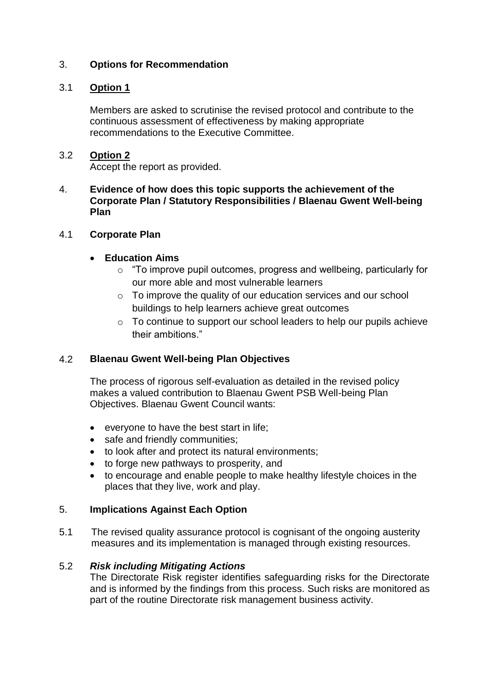# 3. **Options for Recommendation**

#### 3.1 **Option 1**

Members are asked to scrutinise the revised protocol and contribute to the continuous assessment of effectiveness by making appropriate recommendations to the Executive Committee.

#### 3.2 **Option 2**

Accept the report as provided.

#### 4. **Evidence of how does this topic supports the achievement of the Corporate Plan / Statutory Responsibilities / Blaenau Gwent Well-being Plan**

#### 4.1 **Corporate Plan**

# **Education Aims**

- o "To improve pupil outcomes, progress and wellbeing, particularly for our more able and most vulnerable learners
- o To improve the quality of our education services and our school buildings to help learners achieve great outcomes
- o To continue to support our school leaders to help our pupils achieve their ambitions."

#### 4.2 **Blaenau Gwent Well-being Plan Objectives**

The process of rigorous self-evaluation as detailed in the revised policy makes a valued contribution to Blaenau Gwent PSB Well-being Plan Objectives. Blaenau Gwent Council wants:

- everyone to have the best start in life;
- safe and friendly communities;
- to look after and protect its natural environments;
- to forge new pathways to prosperity, and
- to encourage and enable people to make healthy lifestyle choices in the places that they live, work and play.

# 5. **Implications Against Each Option**

5.1 The revised quality assurance protocol is cognisant of the ongoing austerity measures and its implementation is managed through existing resources.

# 5.2 *Risk including Mitigating Actions*

The Directorate Risk register identifies safeguarding risks for the Directorate and is informed by the findings from this process. Such risks are monitored as part of the routine Directorate risk management business activity.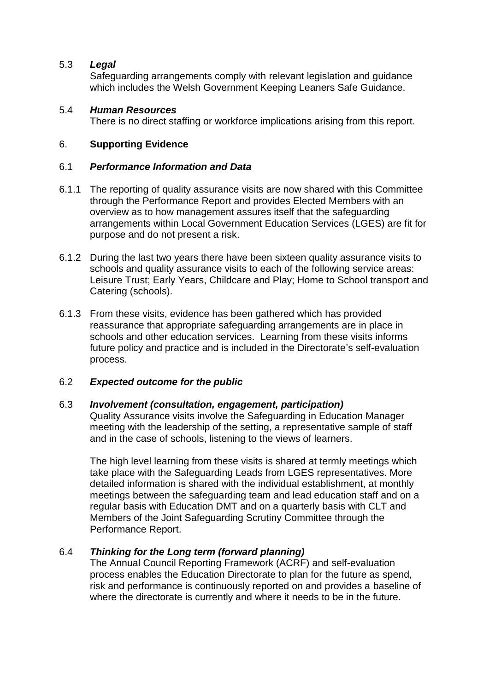# 5.3 *Legal*

Safeguarding arrangements comply with relevant legislation and guidance which includes the Welsh Government Keeping Leaners Safe Guidance.

# 5.4 *Human Resources*

There is no direct staffing or workforce implications arising from this report.

# 6. **Supporting Evidence**

#### 6.1 *Performance Information and Data*

- 6.1.1 The reporting of quality assurance visits are now shared with this Committee through the Performance Report and provides Elected Members with an overview as to how management assures itself that the safeguarding arrangements within Local Government Education Services (LGES) are fit for purpose and do not present a risk.
- 6.1.2 During the last two years there have been sixteen quality assurance visits to schools and quality assurance visits to each of the following service areas: Leisure Trust; Early Years, Childcare and Play; Home to School transport and Catering (schools).
- 6.1.3 From these visits, evidence has been gathered which has provided reassurance that appropriate safeguarding arrangements are in place in schools and other education services. Learning from these visits informs future policy and practice and is included in the Directorate's self-evaluation process.

# 6.2 *Expected outcome for the public*

# 6.3 *Involvement (consultation, engagement, participation)*

Quality Assurance visits involve the Safeguarding in Education Manager meeting with the leadership of the setting, a representative sample of staff and in the case of schools, listening to the views of learners.

The high level learning from these visits is shared at termly meetings which take place with the Safeguarding Leads from LGES representatives. More detailed information is shared with the individual establishment, at monthly meetings between the safeguarding team and lead education staff and on a regular basis with Education DMT and on a quarterly basis with CLT and Members of the Joint Safeguarding Scrutiny Committee through the Performance Report.

# 6.4 *Thinking for the Long term (forward planning)*

The Annual Council Reporting Framework (ACRF) and self-evaluation process enables the Education Directorate to plan for the future as spend, risk and performance is continuously reported on and provides a baseline of where the directorate is currently and where it needs to be in the future.